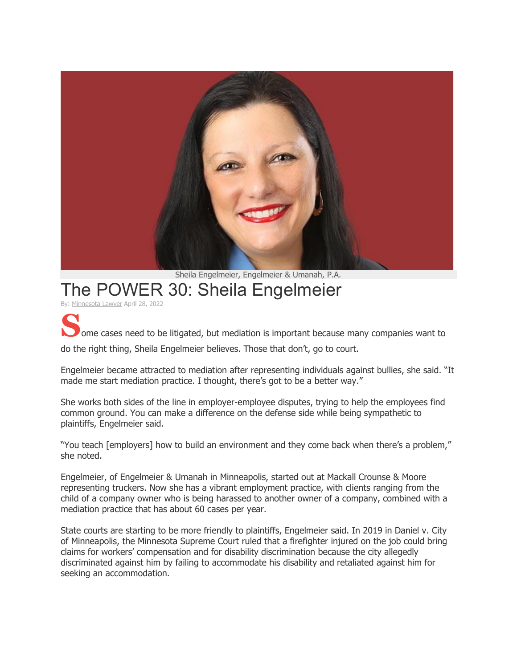

Sheila Engelmeier, Engelmeier & Umanah, P.A.

## The POWER 30: Sheila Engelmeier

By: [Minnesota](https://minnlawyer.com/author/minnesotalawyer/) Lawyer April 28, 2022

**S**ome cases need to be litigated, but mediation is important because many companies want to

do the right thing, Sheila Engelmeier believes. Those that don't, go to court.

Engelmeier became attracted to mediation after representing individuals against bullies, she said. "It made me start mediation practice. I thought, there's got to be a better way."

She works both sides of the line in employer-employee disputes, trying to help the employees find common ground. You can make a difference on the defense side while being sympathetic to plaintiffs, Engelmeier said.

"You teach [employers] how to build an environment and they come back when there's a problem," she noted.

Engelmeier, of Engelmeier & Umanah in Minneapolis, started out at Mackall Crounse & Moore representing truckers. Now she has a vibrant employment practice, with clients ranging from the child of a company owner who is being harassed to another owner of a company, combined with a mediation practice that has about 60 cases per year.

State courts are starting to be more friendly to plaintiffs, Engelmeier said. In 2019 in Daniel v. City of Minneapolis, the Minnesota Supreme Court ruled that a firefighter injured on the job could bring claims for workers' compensation and for disability discrimination because the city allegedly discriminated against him by failing to accommodate his disability and retaliated against him for seeking an accommodation.